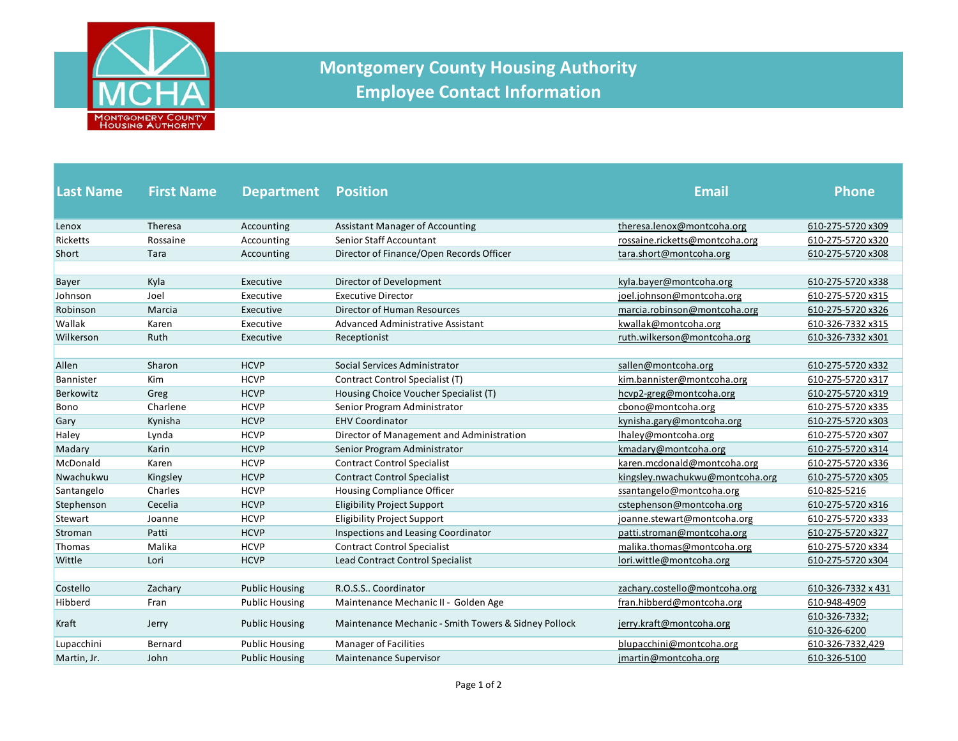

## **Montgomery County Housing Authority Employee Contact Information**

| <b>Last Name</b> | <b>First Name</b> | <b>Department</b>     | <b>Position</b>                                      | <b>Email</b>                    | <b>Phone</b>                  |
|------------------|-------------------|-----------------------|------------------------------------------------------|---------------------------------|-------------------------------|
| Lenox            | Theresa           | Accounting            | <b>Assistant Manager of Accounting</b>               | theresa.lenox@montcoha.org      | 610-275-5720 x309             |
| Ricketts         | Rossaine          | Accounting            | Senior Staff Accountant                              | rossaine.ricketts@montcoha.org  | 610-275-5720 x320             |
| Short            | Tara              | Accounting            | Director of Finance/Open Records Officer             | tara.short@montcoha.org         | 610-275-5720 x308             |
| <b>Bayer</b>     | Kyla              | Executive             | Director of Development                              | kyla.bayer@montcoha.org         | 610-275-5720 x338             |
| Johnson          | Joel              | Executive             | <b>Executive Director</b>                            | joel.johnson@montcoha.org       | 610-275-5720 x315             |
| Robinson         | Marcia            | Executive             | <b>Director of Human Resources</b>                   | marcia.robinson@montcoha.org    | 610-275-5720 x326             |
| Wallak           | Karen             | Executive             | Advanced Administrative Assistant                    | kwallak@montcoha.org            | 610-326-7332 x315             |
| Wilkerson        | Ruth              | Executive             | Receptionist                                         | ruth.wilkerson@montcoha.org     | 610-326-7332 x301             |
|                  |                   |                       |                                                      |                                 |                               |
| Allen            | Sharon            | <b>HCVP</b>           | Social Services Administrator                        | sallen@montcoha.org             | 610-275-5720 x332             |
| Bannister        | Kim               | <b>HCVP</b>           | Contract Control Specialist (T)                      | kim.bannister@montcoha.org      | 610-275-5720 x317             |
| Berkowitz        | Greg              | <b>HCVP</b>           | Housing Choice Voucher Specialist (T)                | hcvp2-greg@montcoha.org         | 610-275-5720 x319             |
| <b>Bono</b>      | Charlene          | <b>HCVP</b>           | Senior Program Administrator                         | cbono@montcoha.org              | 610-275-5720 x335             |
| Gary             | Kynisha           | <b>HCVP</b>           | <b>EHV Coordinator</b>                               | kynisha.gary@montcoha.org       | 610-275-5720 x303             |
| Haley            | Lynda             | <b>HCVP</b>           | Director of Management and Administration            | Ihaley@montcoha.org             | 610-275-5720 x307             |
| Madary           | Karin             | <b>HCVP</b>           | Senior Program Administrator                         | kmadary@montcoha.org            | 610-275-5720 x314             |
| McDonald         | Karen             | <b>HCVP</b>           | <b>Contract Control Specialist</b>                   | karen.mcdonald@montcoha.org     | 610-275-5720 x336             |
| Nwachukwu        | Kingsley          | <b>HCVP</b>           | <b>Contract Control Specialist</b>                   | kingsley.nwachukwu@montcoha.org | 610-275-5720 x305             |
| Santangelo       | Charles           | <b>HCVP</b>           | <b>Housing Compliance Officer</b>                    | ssantangelo@montcoha.org        | 610-825-5216                  |
| Stephenson       | Cecelia           | <b>HCVP</b>           | <b>Eligibility Project Support</b>                   | cstephenson@montcoha.org        | 610-275-5720 x316             |
| Stewart          | Joanne            | <b>HCVP</b>           | <b>Eligibility Project Support</b>                   | joanne.stewart@montcoha.org     | 610-275-5720 x333             |
| Stroman          | Patti             | <b>HCVP</b>           | Inspections and Leasing Coordinator                  | patti.stroman@montcoha.org      | 610-275-5720 x327             |
| Thomas           | Malika            | <b>HCVP</b>           | <b>Contract Control Specialist</b>                   | malika.thomas@montcoha.org      | 610-275-5720 x334             |
| Wittle           | Lori              | <b>HCVP</b>           | Lead Contract Control Specialist                     | lori.wittle@montcoha.org        | 610-275-5720 x304             |
|                  |                   |                       | R.O.S.S., Coordinator                                |                                 |                               |
| Costello         | Zachary           | <b>Public Housing</b> |                                                      | zachary.costello@montcoha.org   | 610-326-7332 x 431            |
| Hibberd          | Fran              | <b>Public Housing</b> | Maintenance Mechanic II - Golden Age                 | fran.hibberd@montcoha.org       | 610-948-4909                  |
| Kraft            | Jerry             | <b>Public Housing</b> | Maintenance Mechanic - Smith Towers & Sidney Pollock | jerry.kraft@montcoha.org        | 610-326-7332;<br>610-326-6200 |
| Lupacchini       | Bernard           | <b>Public Housing</b> | <b>Manager of Facilities</b>                         | blupacchini@montcoha.org        | 610-326-7332,429              |
| Martin, Jr.      | John              | <b>Public Housing</b> | <b>Maintenance Supervisor</b>                        | jmartin@montcoha.org            | 610-326-5100                  |